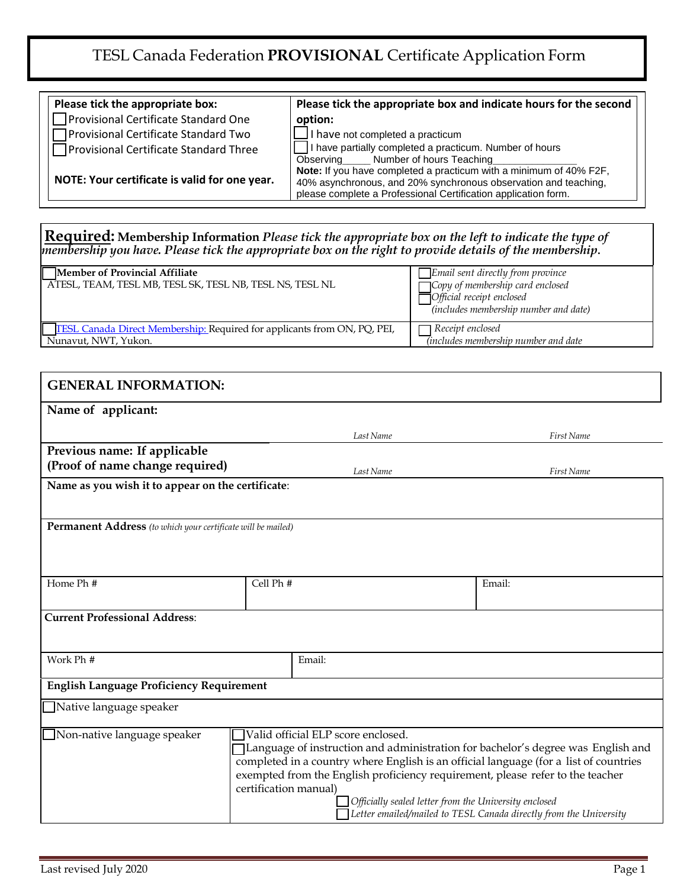## TESL Canada Federation **PROVISIONAL** Certificate Application Form

| Please tick the appropriate box:              | Please tick the appropriate box and indicate hours for the second                                                                                                                                       |
|-----------------------------------------------|---------------------------------------------------------------------------------------------------------------------------------------------------------------------------------------------------------|
| Provisional Certificate Standard One          | option:                                                                                                                                                                                                 |
| Provisional Certificate Standard Two          | $\Box$ I have not completed a practicum                                                                                                                                                                 |
| Provisional Certificate Standard Three        | I have partially completed a practicum. Number of hours<br>Observing Number of hours Teaching                                                                                                           |
| NOTE: Your certificate is valid for one year. | Note: If you have completed a practicum with a minimum of 40% F2F,<br>40% asynchronous, and 20% synchronous observation and teaching,<br>please complete a Professional Certification application form. |
|                                               |                                                                                                                                                                                                         |

## **Required: Membership Information** *Please tick the appropriate box on the left to indicate the type of membership you have. Please tick the appropriate box on the right to provide details of the membership***.** □ **Member of Provincial Affiliate** *□ Email sent directly from province*

| ATESL, TEAM, TESL MB, TESL SK, TESL NB, TESL NS, TESL NL                        | $\Box$ Copy of membership card enclosed<br>$\Box$ Official receipt enclosed<br>(includes membership number and date) |
|---------------------------------------------------------------------------------|----------------------------------------------------------------------------------------------------------------------|
| <b>TESL Canada Direct Membership: Required for applicants from ON, PQ, PEI,</b> | $\Box$ Receipt enclosed                                                                                              |
| Nunavut, NWT, Yukon.                                                            | <i>(includes membership number and date)</i>                                                                         |

| <b>GENERAL INFORMATION:</b>                                                                                                                                                                                                                                                                                                                                                                                                                                                                     |           |           |            |  |  |  |
|-------------------------------------------------------------------------------------------------------------------------------------------------------------------------------------------------------------------------------------------------------------------------------------------------------------------------------------------------------------------------------------------------------------------------------------------------------------------------------------------------|-----------|-----------|------------|--|--|--|
| Name of applicant:                                                                                                                                                                                                                                                                                                                                                                                                                                                                              |           |           |            |  |  |  |
|                                                                                                                                                                                                                                                                                                                                                                                                                                                                                                 |           | Last Name | First Name |  |  |  |
| Previous name: If applicable<br>(Proof of name change required)                                                                                                                                                                                                                                                                                                                                                                                                                                 |           | Last Name | First Name |  |  |  |
| Name as you wish it to appear on the certificate:                                                                                                                                                                                                                                                                                                                                                                                                                                               |           |           |            |  |  |  |
| <b>Permanent Address</b> (to which your certificate will be mailed)                                                                                                                                                                                                                                                                                                                                                                                                                             |           |           |            |  |  |  |
|                                                                                                                                                                                                                                                                                                                                                                                                                                                                                                 |           |           |            |  |  |  |
| Home Ph #                                                                                                                                                                                                                                                                                                                                                                                                                                                                                       | Cell Ph # |           | Email:     |  |  |  |
| <b>Current Professional Address:</b>                                                                                                                                                                                                                                                                                                                                                                                                                                                            |           |           |            |  |  |  |
| Work Ph #                                                                                                                                                                                                                                                                                                                                                                                                                                                                                       |           | Email:    |            |  |  |  |
| <b>English Language Proficiency Requirement</b>                                                                                                                                                                                                                                                                                                                                                                                                                                                 |           |           |            |  |  |  |
| Native language speaker                                                                                                                                                                                                                                                                                                                                                                                                                                                                         |           |           |            |  |  |  |
| Valid official ELP score enclosed.<br>$\Box$ Non-native language speaker<br>TLanguage of instruction and administration for bachelor's degree was English and<br>completed in a country where English is an official language (for a list of countries<br>exempted from the English proficiency requirement, please refer to the teacher<br>certification manual)<br>Officially sealed letter from the University enclosed<br>Letter emailed/mailed to TESL Canada directly from the University |           |           |            |  |  |  |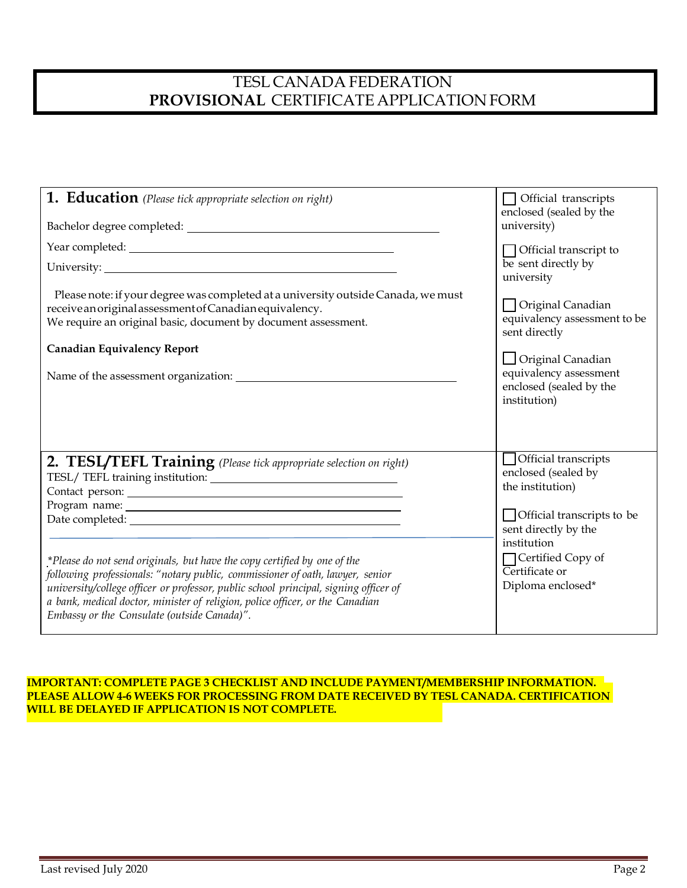## TESL CANADA FEDERATION **PROVISIONAL** CERTIFICATE APPLICATION FORM

| <b>1. Education</b> (Please tick appropriate selection on right)<br>Please note: if your degree was completed at a university outside Canada, we must<br>receive an original assessment of Canadian equivalency.<br>We require an original basic, document by document assessment.<br><b>Canadian Equivalency Report</b>                                                                                                                                | $\Box$ Official transcripts<br>enclosed (sealed by the<br>university)<br>$\Box$ Official transcript to<br>be sent directly by<br>university<br>□ Original Canadian<br>equivalency assessment to be<br>sent directly<br>$\Box$ Original Canadian<br>equivalency assessment<br>enclosed (sealed by the<br>institution) |
|---------------------------------------------------------------------------------------------------------------------------------------------------------------------------------------------------------------------------------------------------------------------------------------------------------------------------------------------------------------------------------------------------------------------------------------------------------|----------------------------------------------------------------------------------------------------------------------------------------------------------------------------------------------------------------------------------------------------------------------------------------------------------------------|
| 2. TESL/TEFL Training (Please tick appropriate selection on right)<br>*Please do not send originals, but have the copy certified by one of the<br>following professionals: "notary public, commissioner of oath, lawyer, senior<br>university/college officer or professor, public school principal, signing officer of<br>a bank, medical doctor, minister of religion, police officer, or the Canadian<br>Embassy or the Consulate (outside Canada)". | Official transcripts<br>enclosed (sealed by<br>the institution)<br>$\Box$ Official transcripts to be<br>sent directly by the<br>institution<br>□ Certified Copy of<br>Certificate or<br>Diploma enclosed*                                                                                                            |

## **IMPORTANT: COMPLETE PAGE 3 CHECKLIST AND INCLUDE PAYMENT/MEMBERSHIP INFORMATION. PLEASE ALLOW 4-6 WEEKS FOR PROCESSING FROM DATE RECEIVED BY TESL CANADA. CERTIFICATION WILL BE DELAYED IF APPLICATION IS NOT COMPLETE.**